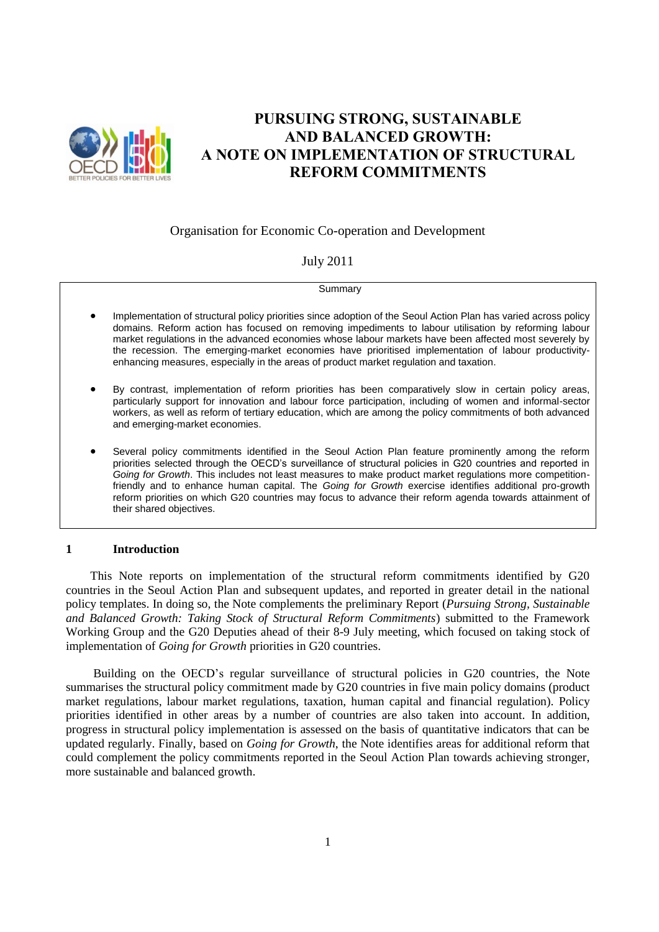

# **PURSUING STRONG, SUSTAINABLE AND BALANCED GROWTH: A NOTE ON IMPLEMENTATION OF STRUCTURAL REFORM COMMITMENTS**

## Organisation for Economic Co-operation and Development

### July 2011

**Summary** 

- Implementation of structural policy priorities since adoption of the Seoul Action Plan has varied across policy domains. Reform action has focused on removing impediments to labour utilisation by reforming labour market regulations in the advanced economies whose labour markets have been affected most severely by the recession. The emerging-market economies have prioritised implementation of labour productivityenhancing measures, especially in the areas of product market regulation and taxation.
- By contrast, implementation of reform priorities has been comparatively slow in certain policy areas, particularly support for innovation and labour force participation, including of women and informal-sector workers, as well as reform of tertiary education, which are among the policy commitments of both advanced and emerging-market economies.
- Several policy commitments identified in the Seoul Action Plan feature prominently among the reform priorities selected through the OECD's surveillance of structural policies in G20 countries and reported in *Going for Growth*. This includes not least measures to make product market regulations more competitionfriendly and to enhance human capital. The *Going for Growth* exercise identifies additional pro-growth reform priorities on which G20 countries may focus to advance their reform agenda towards attainment of their shared objectives.

#### **1 Introduction**

This Note reports on implementation of the structural reform commitments identified by G20 countries in the Seoul Action Plan and subsequent updates, and reported in greater detail in the national policy templates. In doing so, the Note complements the preliminary Report (*Pursuing Strong, Sustainable and Balanced Growth: Taking Stock of Structural Reform Commitments*) submitted to the Framework Working Group and the G20 Deputies ahead of their 8-9 July meeting, which focused on taking stock of implementation of *Going for Growth* priorities in G20 countries.

Building on the OECD's regular surveillance of structural policies in G20 countries, the Note summarises the structural policy commitment made by G20 countries in five main policy domains (product market regulations, labour market regulations, taxation, human capital and financial regulation). Policy priorities identified in other areas by a number of countries are also taken into account. In addition, progress in structural policy implementation is assessed on the basis of quantitative indicators that can be updated regularly. Finally, based on *Going for Growth*, the Note identifies areas for additional reform that could complement the policy commitments reported in the Seoul Action Plan towards achieving stronger, more sustainable and balanced growth.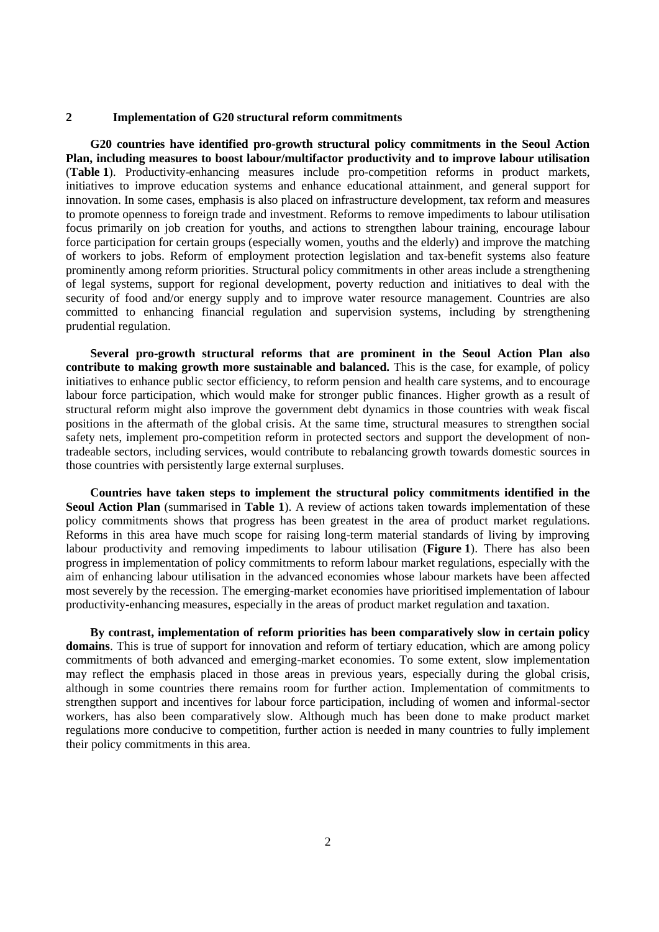#### **2 Implementation of G20 structural reform commitments**

**G20 countries have identified pro-growth structural policy commitments in the Seoul Action Plan, including measures to boost labour/multifactor productivity and to improve labour utilisation** (**Table 1**). Productivity-enhancing measures include pro-competition reforms in product markets, initiatives to improve education systems and enhance educational attainment, and general support for innovation. In some cases, emphasis is also placed on infrastructure development, tax reform and measures to promote openness to foreign trade and investment. Reforms to remove impediments to labour utilisation focus primarily on job creation for youths, and actions to strengthen labour training, encourage labour force participation for certain groups (especially women, youths and the elderly) and improve the matching of workers to jobs. Reform of employment protection legislation and tax-benefit systems also feature prominently among reform priorities. Structural policy commitments in other areas include a strengthening of legal systems, support for regional development, poverty reduction and initiatives to deal with the security of food and/or energy supply and to improve water resource management. Countries are also committed to enhancing financial regulation and supervision systems, including by strengthening prudential regulation.

**Several pro-growth structural reforms that are prominent in the Seoul Action Plan also contribute to making growth more sustainable and balanced.** This is the case, for example, of policy initiatives to enhance public sector efficiency, to reform pension and health care systems, and to encourage labour force participation, which would make for stronger public finances. Higher growth as a result of structural reform might also improve the government debt dynamics in those countries with weak fiscal positions in the aftermath of the global crisis. At the same time, structural measures to strengthen social safety nets, implement pro-competition reform in protected sectors and support the development of nontradeable sectors, including services, would contribute to rebalancing growth towards domestic sources in those countries with persistently large external surpluses.

**Countries have taken steps to implement the structural policy commitments identified in the Seoul Action Plan** (summarised in **Table 1**). A review of actions taken towards implementation of these policy commitments shows that progress has been greatest in the area of product market regulations. Reforms in this area have much scope for raising long-term material standards of living by improving labour productivity and removing impediments to labour utilisation (**Figure 1**). There has also been progress in implementation of policy commitments to reform labour market regulations, especially with the aim of enhancing labour utilisation in the advanced economies whose labour markets have been affected most severely by the recession. The emerging-market economies have prioritised implementation of labour productivity-enhancing measures, especially in the areas of product market regulation and taxation.

**By contrast, implementation of reform priorities has been comparatively slow in certain policy domains**. This is true of support for innovation and reform of tertiary education, which are among policy commitments of both advanced and emerging-market economies. To some extent, slow implementation may reflect the emphasis placed in those areas in previous years, especially during the global crisis, although in some countries there remains room for further action. Implementation of commitments to strengthen support and incentives for labour force participation, including of women and informal-sector workers, has also been comparatively slow. Although much has been done to make product market regulations more conducive to competition, further action is needed in many countries to fully implement their policy commitments in this area.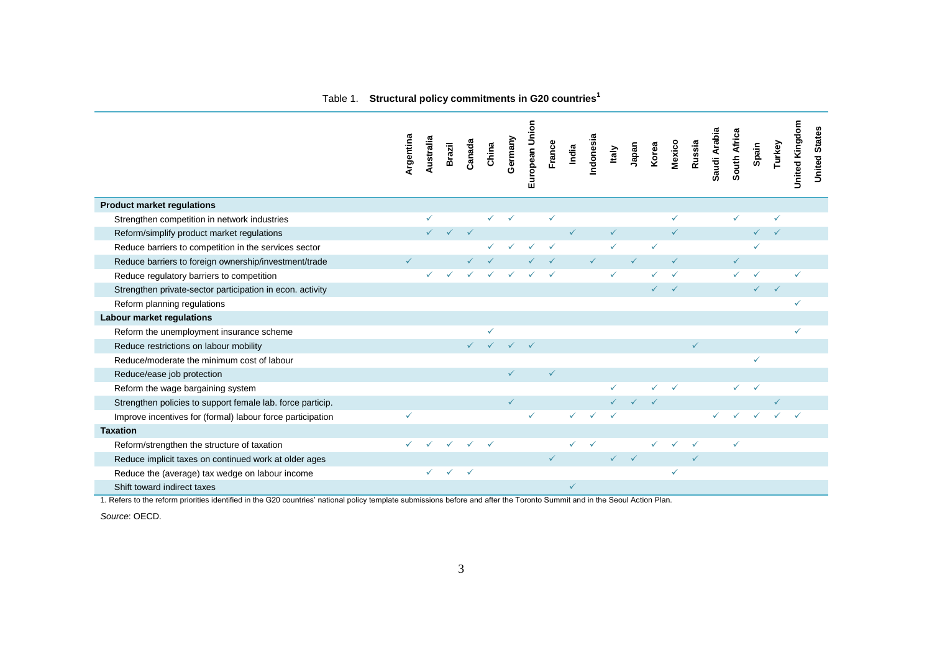|                                                            | Argentina | Australia | <b>Brazil</b> | Canada | China        | Germany      | European Union | France       | India        | Indonesia    | Italy        | Japan        | Korea        | Mexico       | Russia | Saudi Arabia | South Africa | Spain        | Turkey | <b>United Kingdom</b> | <b>United States</b> |
|------------------------------------------------------------|-----------|-----------|---------------|--------|--------------|--------------|----------------|--------------|--------------|--------------|--------------|--------------|--------------|--------------|--------|--------------|--------------|--------------|--------|-----------------------|----------------------|
| <b>Product market regulations</b>                          |           |           |               |        |              |              |                |              |              |              |              |              |              |              |        |              |              |              |        |                       |                      |
| Strengthen competition in network industries               |           | ✓         |               |        |              |              |                | ✓            |              |              |              |              |              | ✓            |        |              |              |              | ✓      |                       |                      |
| Reform/simplify product market regulations                 |           |           |               |        |              |              |                |              | $\checkmark$ |              | $\checkmark$ |              |              |              |        |              |              |              |        |                       |                      |
| Reduce barriers to competition in the services sector      |           |           |               |        |              |              |                |              |              |              | $\checkmark$ |              |              |              |        |              |              |              |        |                       |                      |
| Reduce barriers to foreign ownership/investment/trade      |           |           |               |        |              |              |                |              |              | $\checkmark$ |              |              |              |              |        |              |              |              |        |                       |                      |
| Reduce regulatory barriers to competition                  |           |           |               |        |              |              |                |              |              |              | $\checkmark$ |              |              |              |        |              |              |              |        |                       |                      |
| Strengthen private-sector participation in econ. activity  |           |           |               |        |              |              |                |              |              |              |              |              | $\checkmark$ | $\checkmark$ |        |              |              | $\checkmark$ |        |                       |                      |
| Reform planning regulations                                |           |           |               |        |              |              |                |              |              |              |              |              |              |              |        |              |              |              |        |                       |                      |
| Labour market regulations                                  |           |           |               |        |              |              |                |              |              |              |              |              |              |              |        |              |              |              |        |                       |                      |
| Reform the unemployment insurance scheme                   |           |           |               |        | $\checkmark$ |              |                |              |              |              |              |              |              |              |        |              |              |              |        |                       |                      |
| Reduce restrictions on labour mobility                     |           |           |               |        |              |              |                |              |              |              |              |              |              |              |        |              |              |              |        |                       |                      |
| Reduce/moderate the minimum cost of labour                 |           |           |               |        |              |              |                |              |              |              |              |              |              |              |        |              |              | ✓            |        |                       |                      |
| Reduce/ease job protection                                 |           |           |               |        |              | ✓            |                | $\checkmark$ |              |              |              |              |              |              |        |              |              |              |        |                       |                      |
| Reform the wage bargaining system                          |           |           |               |        |              |              |                |              |              |              |              |              |              |              |        |              | $\checkmark$ | ✓            |        |                       |                      |
| Strengthen policies to support female lab. force particip. |           |           |               |        |              | $\checkmark$ |                |              |              |              |              |              |              |              |        |              |              |              |        |                       |                      |
| Improve incentives for (formal) labour force participation | ✓         |           |               |        |              |              | $\checkmark$   |              | ✓            |              |              |              |              |              |        |              |              |              |        |                       |                      |
| <b>Taxation</b>                                            |           |           |               |        |              |              |                |              |              |              |              |              |              |              |        |              |              |              |        |                       |                      |
| Reform/strengthen the structure of taxation                |           |           |               |        |              |              |                |              |              |              |              |              |              |              |        |              | ✓            |              |        |                       |                      |
| Reduce implicit taxes on continued work at older ages      |           |           |               |        |              |              |                | $\checkmark$ |              |              | $\checkmark$ | $\checkmark$ |              |              |        |              |              |              |        |                       |                      |
| Reduce the (average) tax wedge on labour income            |           |           | ✓             |        |              |              |                |              |              |              |              |              |              |              |        |              |              |              |        |                       |                      |
| Shift toward indirect taxes                                |           |           |               |        |              |              |                |              | $\checkmark$ |              |              |              |              |              |        |              |              |              |        |                       |                      |

1. Refers to the reform priorities identified in the G20 countries' national policy template submissions before and after the Toronto Summit and in the Seoul Action Plan.

*Source*: OECD.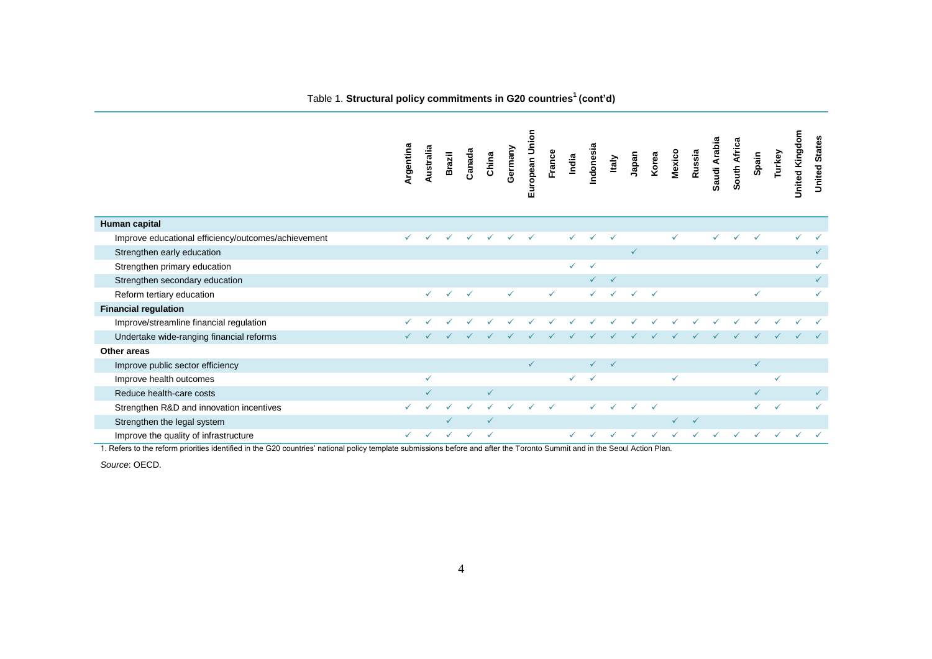|                                                     | Argentina    | Australia | Brazil       | Canada | China        | Germany      | European Union | France       | India | Indonesia    | Italy | Japan        | Korea        | Mexico | Russia       | Saudi Arabia | South Africa | Spain        | Turkey       | <b>United Kingdom</b> | <b>United States</b> |
|-----------------------------------------------------|--------------|-----------|--------------|--------|--------------|--------------|----------------|--------------|-------|--------------|-------|--------------|--------------|--------|--------------|--------------|--------------|--------------|--------------|-----------------------|----------------------|
| Human capital                                       |              |           |              |        |              |              |                |              |       |              |       |              |              |        |              |              |              |              |              |                       |                      |
| Improve educational efficiency/outcomes/achievement | $\checkmark$ |           |              |        |              |              |                |              | ✓     |              |       |              |              | ✓      |              | ✓            |              |              |              |                       |                      |
| Strengthen early education                          |              |           |              |        |              |              |                |              |       |              |       | $\checkmark$ |              |        |              |              |              |              |              |                       |                      |
| Strengthen primary education                        |              |           |              |        |              |              |                |              | ✓     | $\checkmark$ |       |              |              |        |              |              |              |              |              |                       |                      |
| Strengthen secondary education                      |              |           |              |        |              |              |                |              |       |              |       |              |              |        |              |              |              |              |              |                       |                      |
| Reform tertiary education                           |              | ✓         |              | ✓      |              | $\checkmark$ |                | $\checkmark$ |       |              |       |              | $\checkmark$ |        |              |              |              | ✓            |              |                       |                      |
| <b>Financial regulation</b>                         |              |           |              |        |              |              |                |              |       |              |       |              |              |        |              |              |              |              |              |                       |                      |
| Improve/streamline financial regulation             |              |           |              |        |              |              |                |              |       |              |       |              |              |        |              |              |              |              |              |                       |                      |
| Undertake wide-ranging financial reforms            |              |           |              |        |              |              |                |              |       |              |       |              |              |        |              |              |              |              |              |                       |                      |
| Other areas                                         |              |           |              |        |              |              |                |              |       |              |       |              |              |        |              |              |              |              |              |                       |                      |
| Improve public sector efficiency                    |              |           |              |        |              |              | $\checkmark$   |              |       |              |       |              |              |        |              |              |              | $\checkmark$ |              |                       |                      |
| Improve health outcomes                             |              | ✓         |              |        |              |              |                |              | ✓     |              |       |              |              | ✓      |              |              |              |              | ✓            |                       |                      |
| Reduce health-care costs                            |              | ✓         |              |        | $\checkmark$ |              |                |              |       |              |       |              |              |        |              |              |              |              |              |                       |                      |
| Strengthen R&D and innovation incentives            |              |           |              |        |              |              |                |              |       |              |       |              | $\checkmark$ |        |              |              |              |              | $\checkmark$ |                       |                      |
| Strengthen the legal system                         |              |           |              |        |              |              |                |              |       |              |       |              |              |        | $\checkmark$ |              |              |              |              |                       |                      |
| Improve the quality of infrastructure               | $\checkmark$ | ✓         | $\checkmark$ | ✓      | $\checkmark$ |              |                |              | ✓     |              |       |              |              |        |              |              |              |              |              |                       |                      |

#### Table 1. **Structural policy commitments in G20 countries<sup>1</sup> (cont'd)**

1. Refers to the reform priorities identified in the G20 countries' national policy template submissions before and after the Toronto Summit and in the Seoul Action Plan.

*Source*: OECD.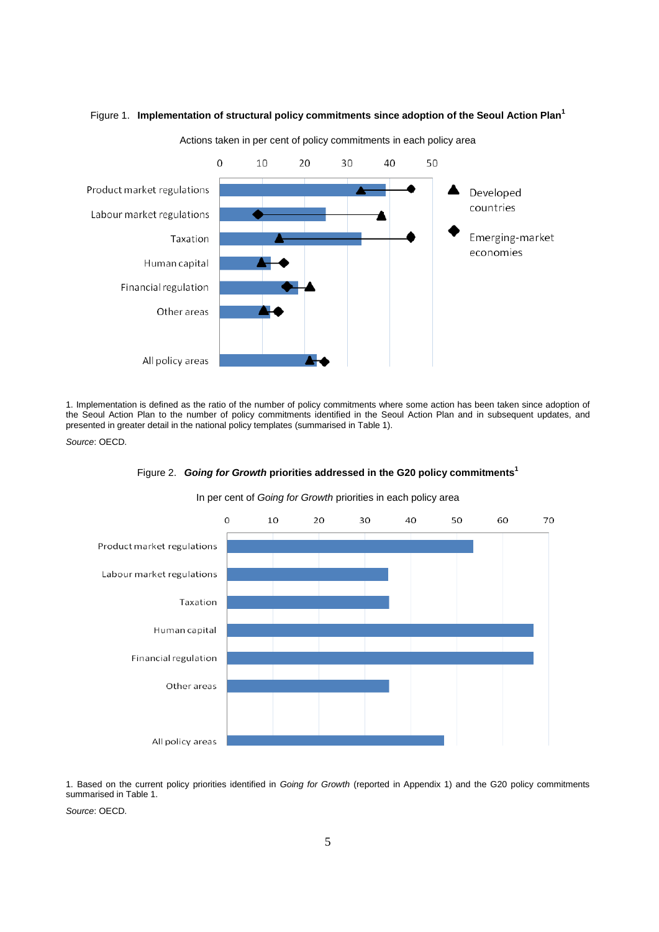

Figure 1. **Implementation of structural policy commitments since adoption of the Seoul Action Plan<sup>1</sup>**

Actions taken in per cent of policy commitments in each policy area

1. Implementation is defined as the ratio of the number of policy commitments where some action has been taken since adoption of the Seoul Action Plan to the number of policy commitments identified in the Seoul Action Plan and in subsequent updates, and presented in greater detail in the national policy templates (summarised in Table 1).

*Source*: OECD.



In per cent of *Going for Growth* priorities in each policy area

Figure 2. *Going for Growth* **priorities addressed in the G20 policy commitments<sup>1</sup>**

1. Based on the current policy priorities identified in *Going for Growth* (reported in Appendix 1) and the G20 policy commitments summarised in Table 1.

*Source*: OECD.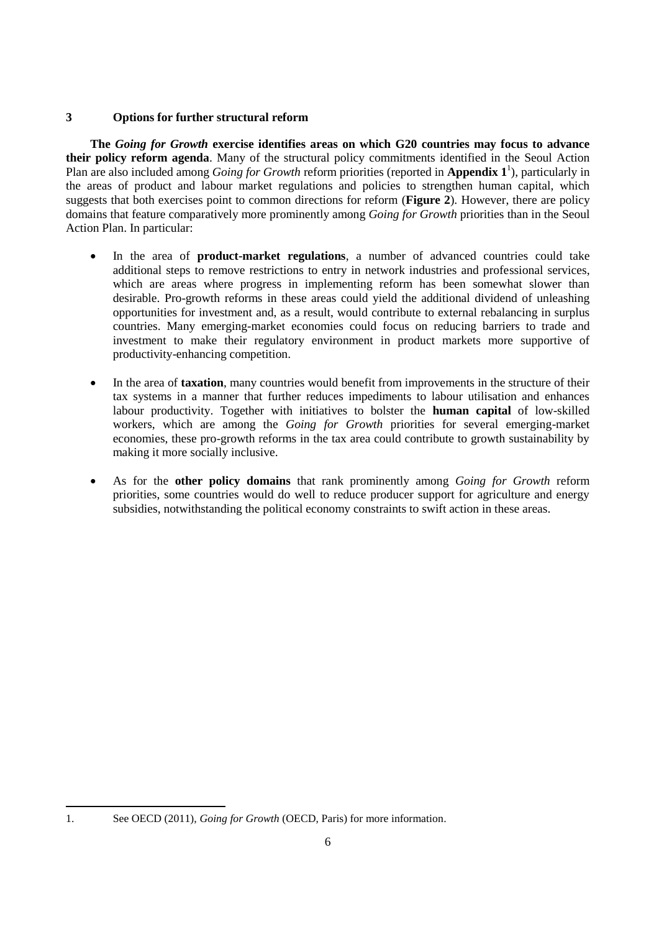## **3 Options for further structural reform**

**The** *Going for Growth* **exercise identifies areas on which G20 countries may focus to advance their policy reform agenda**. Many of the structural policy commitments identified in the Seoul Action Plan are also included among *Going for Growth* reform priorities (reported in **Appendix 1** 1 ), particularly in the areas of product and labour market regulations and policies to strengthen human capital, which suggests that both exercises point to common directions for reform (**Figure 2**)*.* However, there are policy domains that feature comparatively more prominently among *Going for Growth* priorities than in the Seoul Action Plan. In particular:

- In the area of **product-market regulations**, a number of advanced countries could take additional steps to remove restrictions to entry in network industries and professional services, which are areas where progress in implementing reform has been somewhat slower than desirable. Pro-growth reforms in these areas could yield the additional dividend of unleashing opportunities for investment and, as a result, would contribute to external rebalancing in surplus countries. Many emerging-market economies could focus on reducing barriers to trade and investment to make their regulatory environment in product markets more supportive of productivity-enhancing competition.
- In the area of **taxation**, many countries would benefit from improvements in the structure of their tax systems in a manner that further reduces impediments to labour utilisation and enhances labour productivity. Together with initiatives to bolster the **human capital** of low-skilled workers, which are among the *Going for Growth* priorities for several emerging-market economies, these pro-growth reforms in the tax area could contribute to growth sustainability by making it more socially inclusive.
- As for the **other policy domains** that rank prominently among *Going for Growth* reform priorities, some countries would do well to reduce producer support for agriculture and energy subsidies, notwithstanding the political economy constraints to swift action in these areas.

 $\overline{a}$ 

<sup>1.</sup> See OECD (2011), *Going for Growth* (OECD, Paris) for more information.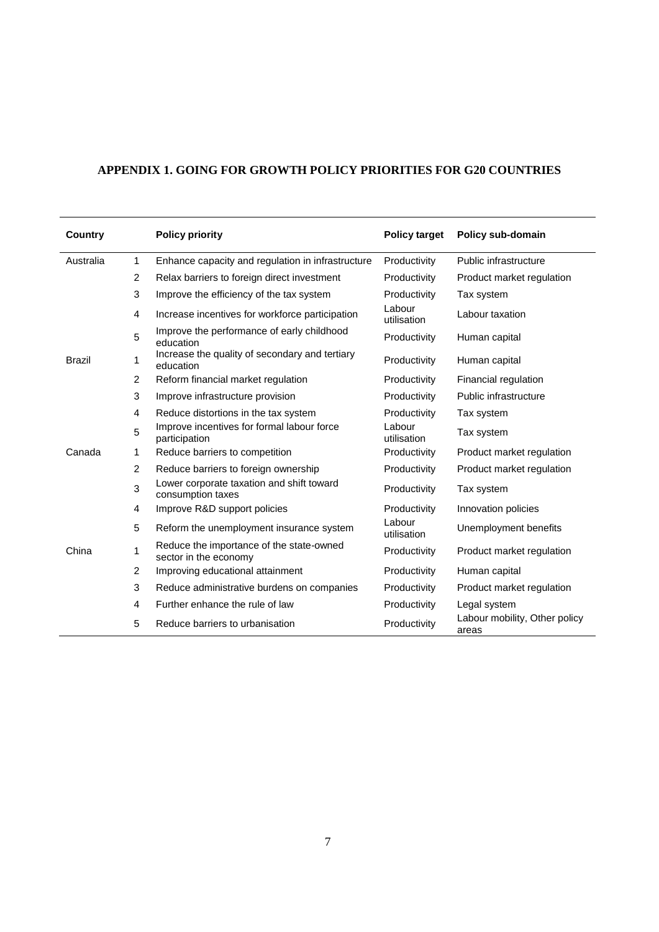# **APPENDIX 1. GOING FOR GROWTH POLICY PRIORITIES FOR G20 COUNTRIES**

| <b>Country</b> |                | <b>Policy priority</b>                                            | <b>Policy target</b>  | Policy sub-domain                      |
|----------------|----------------|-------------------------------------------------------------------|-----------------------|----------------------------------------|
| Australia      | 1              | Enhance capacity and regulation in infrastructure                 | Productivity          | Public infrastructure                  |
|                | $\overline{2}$ | Relax barriers to foreign direct investment                       | Productivity          | Product market regulation              |
|                | 3              | Improve the efficiency of the tax system                          | Productivity          | Tax system                             |
|                | 4              | Increase incentives for workforce participation                   | Labour<br>utilisation | Labour taxation                        |
|                | 5              | Improve the performance of early childhood<br>education           | Productivity          | Human capital                          |
| <b>Brazil</b>  | 1              | Increase the quality of secondary and tertiary<br>education       | Productivity          | Human capital                          |
|                | $\overline{2}$ | Reform financial market regulation                                | Productivity          | Financial regulation                   |
|                | 3              | Improve infrastructure provision                                  | Productivity          | Public infrastructure                  |
|                | 4              | Reduce distortions in the tax system                              | Productivity          | Tax system                             |
|                | 5              | Improve incentives for formal labour force<br>participation       | Labour<br>utilisation | Tax system                             |
| Canada         | 1              | Reduce barriers to competition                                    | Productivity          | Product market regulation              |
|                | 2              | Reduce barriers to foreign ownership                              | Productivity          | Product market regulation              |
|                | 3              | Lower corporate taxation and shift toward<br>consumption taxes    | Productivity          | Tax system                             |
|                | 4              | Improve R&D support policies                                      | Productivity          | Innovation policies                    |
|                | 5              | Reform the unemployment insurance system                          | Labour<br>utilisation | Unemployment benefits                  |
| China          | 1              | Reduce the importance of the state-owned<br>sector in the economy | Productivity          | Product market regulation              |
|                | 2              | Improving educational attainment                                  | Productivity          | Human capital                          |
|                | 3              | Reduce administrative burdens on companies                        | Productivity          | Product market regulation              |
|                | 4              | Further enhance the rule of law                                   | Productivity          | Legal system                           |
|                | 5              | Reduce barriers to urbanisation                                   | Productivity          | Labour mobility, Other policy<br>areas |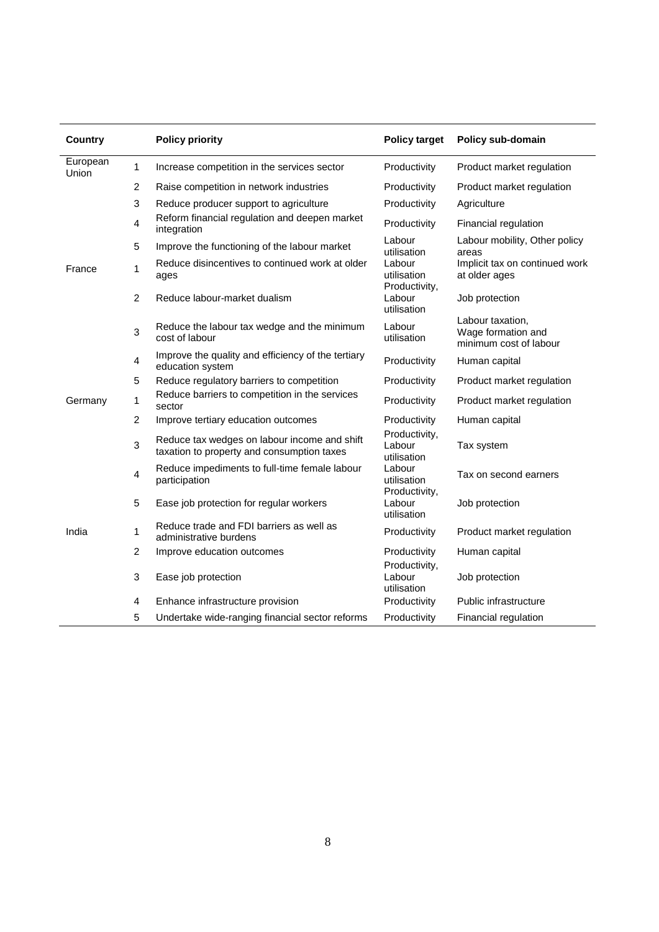| Country           |                | <b>Policy priority</b>                                                                     | <b>Policy target</b>                   | Policy sub-domain                                                |
|-------------------|----------------|--------------------------------------------------------------------------------------------|----------------------------------------|------------------------------------------------------------------|
| European<br>Union | 1              | Increase competition in the services sector                                                | Productivity                           | Product market regulation                                        |
|                   | $\overline{c}$ | Raise competition in network industries                                                    | Productivity                           | Product market regulation                                        |
|                   | 3              | Reduce producer support to agriculture                                                     | Productivity                           | Agriculture                                                      |
|                   | 4              | Reform financial regulation and deepen market<br>integration                               | Productivity                           | Financial regulation                                             |
|                   | 5              | Improve the functioning of the labour market                                               | Labour<br>utilisation                  | Labour mobility, Other policy<br>areas                           |
| France            | 1              | Reduce disincentives to continued work at older<br>ages                                    | Labour<br>utilisation<br>Productivity, | Implicit tax on continued work<br>at older ages                  |
|                   | 2              | Reduce labour-market dualism                                                               | Labour<br>utilisation                  | Job protection                                                   |
|                   | 3              | Reduce the labour tax wedge and the minimum<br>cost of labour                              | Labour<br>utilisation                  | Labour taxation,<br>Wage formation and<br>minimum cost of labour |
|                   | $\overline{4}$ | Improve the quality and efficiency of the tertiary<br>education system                     | Productivity                           | Human capital                                                    |
|                   | 5              | Reduce regulatory barriers to competition                                                  | Productivity                           | Product market regulation                                        |
| Germany           | 1              | Reduce barriers to competition in the services<br>sector                                   | Productivity                           | Product market regulation                                        |
|                   | $\overline{c}$ | Improve tertiary education outcomes                                                        | Productivity                           | Human capital                                                    |
|                   | 3              | Reduce tax wedges on labour income and shift<br>taxation to property and consumption taxes | Productivity,<br>Labour<br>utilisation | Tax system                                                       |
|                   | 4              | Reduce impediments to full-time female labour<br>participation                             | Labour<br>utilisation                  | Tax on second earners                                            |
|                   | 5              | Ease job protection for regular workers                                                    | Productivity,<br>Labour<br>utilisation | Job protection                                                   |
| India             | 1              | Reduce trade and FDI barriers as well as<br>administrative burdens                         | Productivity                           | Product market regulation                                        |
|                   | $\overline{c}$ | Improve education outcomes                                                                 | Productivity                           | Human capital                                                    |
|                   | 3              | Ease job protection                                                                        | Productivity,<br>Labour<br>utilisation | Job protection                                                   |
|                   | 4              | Enhance infrastructure provision                                                           | Productivity                           | Public infrastructure                                            |
|                   | 5              | Undertake wide-ranging financial sector reforms                                            | Productivity                           | Financial regulation                                             |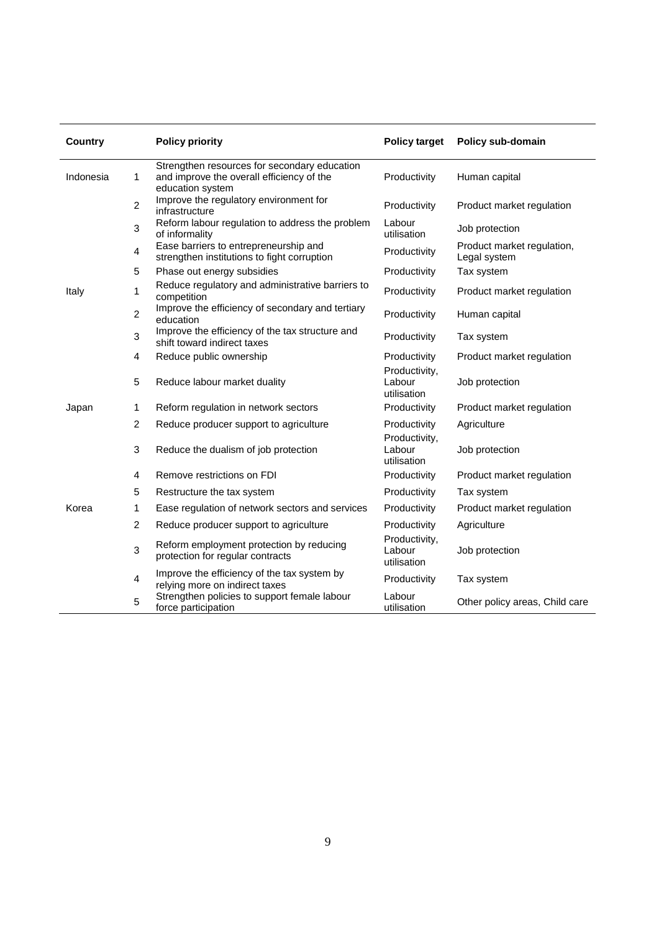| <b>Country</b> |                | <b>Policy priority</b>                                                                                        | <b>Policy target</b>                   | Policy sub-domain                          |
|----------------|----------------|---------------------------------------------------------------------------------------------------------------|----------------------------------------|--------------------------------------------|
| Indonesia      | 1              | Strengthen resources for secondary education<br>and improve the overall efficiency of the<br>education system | Productivity                           | Human capital                              |
|                | $\overline{2}$ | Improve the regulatory environment for<br>infrastructure                                                      | Productivity                           | Product market regulation                  |
|                | 3              | Reform labour regulation to address the problem<br>of informality                                             | Labour<br>utilisation                  | Job protection                             |
|                | $\overline{4}$ | Ease barriers to entrepreneurship and<br>strengthen institutions to fight corruption                          | Productivity                           | Product market regulation,<br>Legal system |
|                | 5              | Phase out energy subsidies                                                                                    | Productivity                           | Tax system                                 |
| Italy          | 1              | Reduce regulatory and administrative barriers to<br>competition                                               | Productivity                           | Product market regulation                  |
|                | $\overline{2}$ | Improve the efficiency of secondary and tertiary<br>education                                                 | Productivity                           | Human capital                              |
|                | 3              | Improve the efficiency of the tax structure and<br>shift toward indirect taxes                                | Productivity                           | Tax system                                 |
|                | 4              | Reduce public ownership                                                                                       | Productivity                           | Product market regulation                  |
|                | 5              | Reduce labour market duality                                                                                  | Productivity,<br>Labour<br>utilisation | Job protection                             |
| Japan          | 1              | Reform regulation in network sectors                                                                          | Productivity                           | Product market regulation                  |
|                | $\overline{2}$ | Reduce producer support to agriculture                                                                        | Productivity                           | Agriculture                                |
|                | 3              | Reduce the dualism of job protection                                                                          | Productivity,<br>Labour<br>utilisation | Job protection                             |
|                | $\overline{4}$ | Remove restrictions on FDI                                                                                    | Productivity                           | Product market regulation                  |
|                | 5              | Restructure the tax system                                                                                    | Productivity                           | Tax system                                 |
| Korea          | 1              | Ease regulation of network sectors and services                                                               | Productivity                           | Product market regulation                  |
|                | 2              | Reduce producer support to agriculture                                                                        | Productivity                           | Agriculture                                |
|                | 3              | Reform employment protection by reducing<br>protection for regular contracts                                  | Productivity,<br>Labour<br>utilisation | Job protection                             |
|                | $\overline{4}$ | Improve the efficiency of the tax system by<br>relying more on indirect taxes                                 | Productivity                           | Tax system                                 |
|                | 5              | Strengthen policies to support female labour<br>force participation                                           | Labour<br>utilisation                  | Other policy areas, Child care             |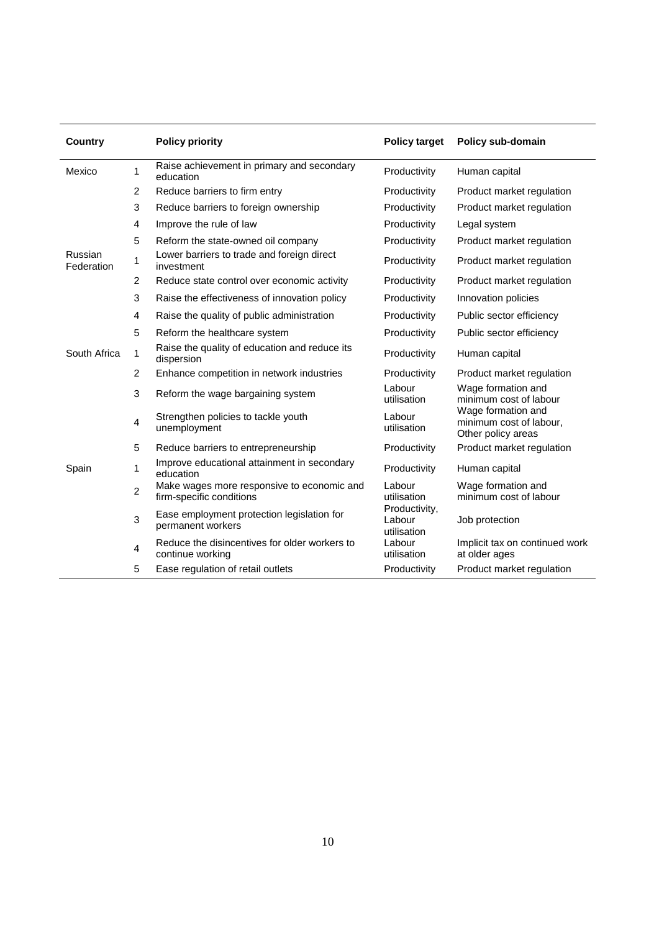| <b>Country</b>        |                | <b>Policy priority</b>                                                 | <b>Policy target</b>                   | Policy sub-domain                                                   |
|-----------------------|----------------|------------------------------------------------------------------------|----------------------------------------|---------------------------------------------------------------------|
| Mexico                | 1              | Raise achievement in primary and secondary<br>education                | Productivity                           | Human capital                                                       |
|                       | $\overline{2}$ | Reduce barriers to firm entry                                          | Productivity                           | Product market regulation                                           |
|                       | 3              | Reduce barriers to foreign ownership                                   | Productivity                           | Product market regulation                                           |
|                       | 4              | Improve the rule of law                                                | Productivity                           | Legal system                                                        |
|                       | 5              | Reform the state-owned oil company                                     | Productivity                           | Product market regulation                                           |
| Russian<br>Federation | 1              | Lower barriers to trade and foreign direct<br>investment               | Productivity                           | Product market regulation                                           |
|                       | 2              | Reduce state control over economic activity                            | Productivity                           | Product market regulation                                           |
|                       | 3              | Raise the effectiveness of innovation policy                           | Productivity                           | Innovation policies                                                 |
|                       | 4              | Raise the quality of public administration                             | Productivity                           | Public sector efficiency                                            |
|                       | 5              | Reform the healthcare system                                           | Productivity                           | Public sector efficiency                                            |
| South Africa          | 1              | Raise the quality of education and reduce its<br>dispersion            | Productivity                           | Human capital                                                       |
|                       | 2              | Enhance competition in network industries                              | Productivity                           | Product market regulation                                           |
|                       | 3              | Reform the wage bargaining system                                      | Labour<br>utilisation                  | Wage formation and<br>minimum cost of labour                        |
|                       | 4              | Strengthen policies to tackle youth<br>unemployment                    | Labour<br>utilisation                  | Wage formation and<br>minimum cost of labour,<br>Other policy areas |
|                       | 5              | Reduce barriers to entrepreneurship                                    | Productivity                           | Product market regulation                                           |
| Spain                 | 1              | Improve educational attainment in secondary<br>education               | Productivity                           | Human capital                                                       |
|                       | $\overline{2}$ | Make wages more responsive to economic and<br>firm-specific conditions | Labour<br>utilisation                  | Wage formation and<br>minimum cost of labour                        |
|                       | 3              | Ease employment protection legislation for<br>permanent workers        | Productivity,<br>Labour<br>utilisation | Job protection                                                      |
|                       | 4              | Reduce the disincentives for older workers to<br>continue working      | Labour<br>utilisation                  | Implicit tax on continued work<br>at older ages                     |
|                       | 5              | Ease regulation of retail outlets                                      | Productivity                           | Product market regulation                                           |